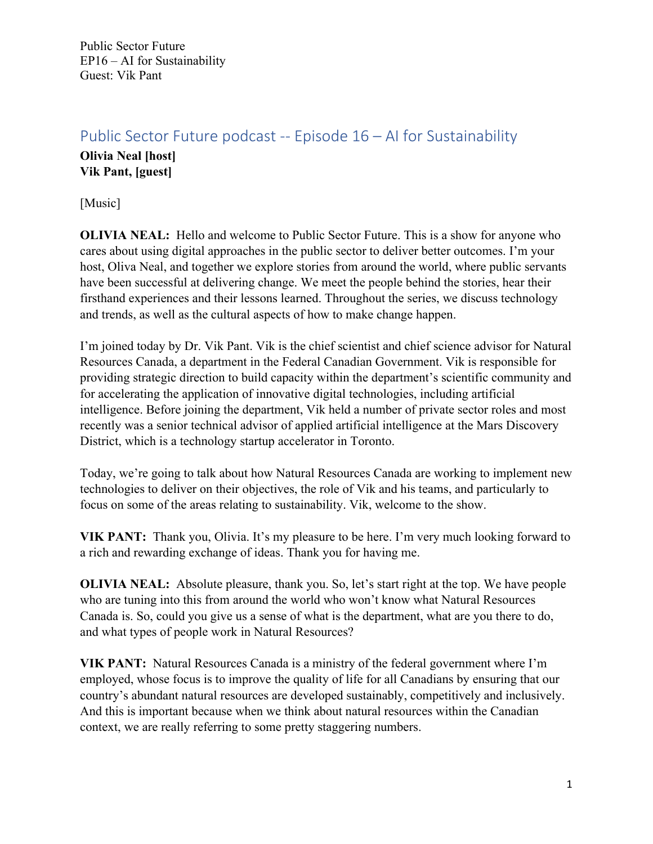## Public Sector Future podcast -- Episode 16 – AI for Sustainability

**Olivia Neal [host] Vik Pant, [guest]**

[Music]

**OLIVIA NEAL:** Hello and welcome to Public Sector Future. This is a show for anyone who cares about using digital approaches in the public sector to deliver better outcomes. I'm your host, Oliva Neal, and together we explore stories from around the world, where public servants have been successful at delivering change. We meet the people behind the stories, hear their firsthand experiences and their lessons learned. Throughout the series, we discuss technology and trends, as well as the cultural aspects of how to make change happen.

I'm joined today by Dr. Vik Pant. Vik is the chief scientist and chief science advisor for Natural Resources Canada, a department in the Federal Canadian Government. Vik is responsible for providing strategic direction to build capacity within the department's scientific community and for accelerating the application of innovative digital technologies, including artificial intelligence. Before joining the department, Vik held a number of private sector roles and most recently was a senior technical advisor of applied artificial intelligence at the Mars Discovery District, which is a technology startup accelerator in Toronto.

Today, we're going to talk about how Natural Resources Canada are working to implement new technologies to deliver on their objectives, the role of Vik and his teams, and particularly to focus on some of the areas relating to sustainability. Vik, welcome to the show.

**VIK PANT:** Thank you, Olivia. It's my pleasure to be here. I'm very much looking forward to a rich and rewarding exchange of ideas. Thank you for having me.

**OLIVIA NEAL:** Absolute pleasure, thank you. So, let's start right at the top. We have people who are tuning into this from around the world who won't know what Natural Resources Canada is. So, could you give us a sense of what is the department, what are you there to do, and what types of people work in Natural Resources?

**VIK PANT:** Natural Resources Canada is a ministry of the federal government where I'm employed, whose focus is to improve the quality of life for all Canadians by ensuring that our country's abundant natural resources are developed sustainably, competitively and inclusively. And this is important because when we think about natural resources within the Canadian context, we are really referring to some pretty staggering numbers.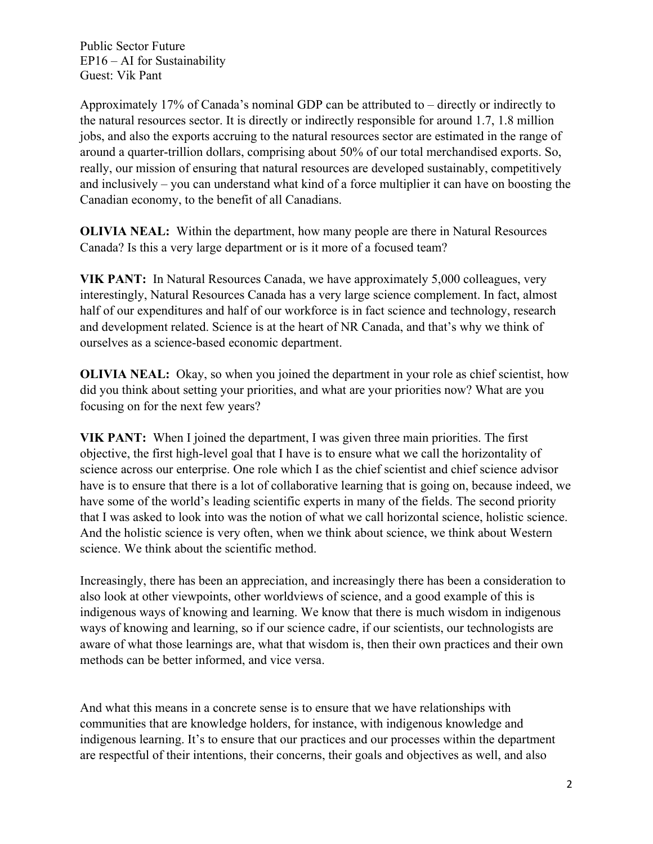Approximately 17% of Canada's nominal GDP can be attributed to – directly or indirectly to the natural resources sector. It is directly or indirectly responsible for around 1.7, 1.8 million jobs, and also the exports accruing to the natural resources sector are estimated in the range of around a quarter-trillion dollars, comprising about 50% of our total merchandised exports. So, really, our mission of ensuring that natural resources are developed sustainably, competitively and inclusively – you can understand what kind of a force multiplier it can have on boosting the Canadian economy, to the benefit of all Canadians.

**OLIVIA NEAL:** Within the department, how many people are there in Natural Resources Canada? Is this a very large department or is it more of a focused team?

**VIK PANT:** In Natural Resources Canada, we have approximately 5,000 colleagues, very interestingly, Natural Resources Canada has a very large science complement. In fact, almost half of our expenditures and half of our workforce is in fact science and technology, research and development related. Science is at the heart of NR Canada, and that's why we think of ourselves as a science-based economic department.

**OLIVIA NEAL:** Okay, so when you joined the department in your role as chief scientist, how did you think about setting your priorities, and what are your priorities now? What are you focusing on for the next few years?

**VIK PANT:** When I joined the department, I was given three main priorities. The first objective, the first high-level goal that I have is to ensure what we call the horizontality of science across our enterprise. One role which I as the chief scientist and chief science advisor have is to ensure that there is a lot of collaborative learning that is going on, because indeed, we have some of the world's leading scientific experts in many of the fields. The second priority that I was asked to look into was the notion of what we call horizontal science, holistic science. And the holistic science is very often, when we think about science, we think about Western science. We think about the scientific method.

Increasingly, there has been an appreciation, and increasingly there has been a consideration to also look at other viewpoints, other worldviews of science, and a good example of this is indigenous ways of knowing and learning. We know that there is much wisdom in indigenous ways of knowing and learning, so if our science cadre, if our scientists, our technologists are aware of what those learnings are, what that wisdom is, then their own practices and their own methods can be better informed, and vice versa.

And what this means in a concrete sense is to ensure that we have relationships with communities that are knowledge holders, for instance, with indigenous knowledge and indigenous learning. It's to ensure that our practices and our processes within the department are respectful of their intentions, their concerns, their goals and objectives as well, and also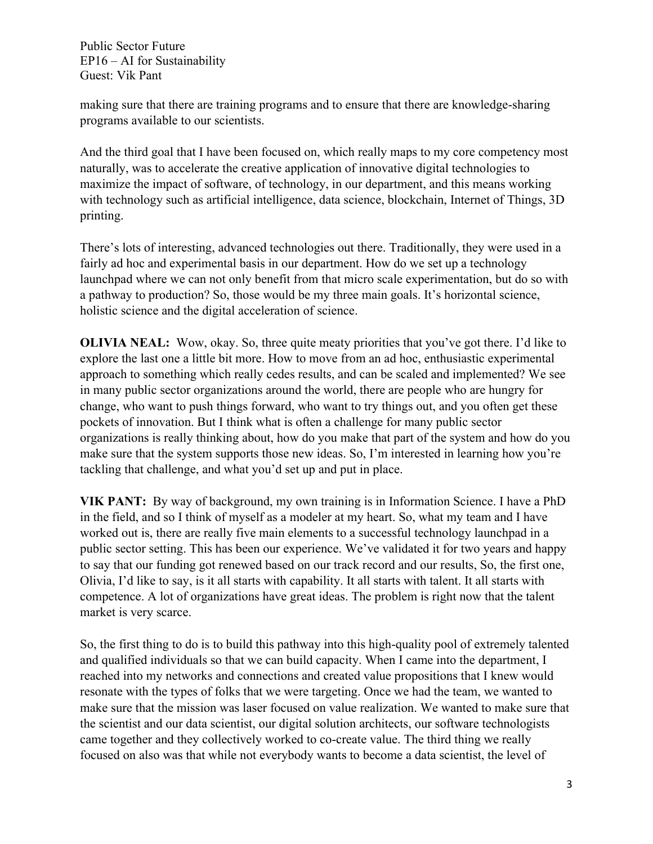making sure that there are training programs and to ensure that there are knowledge-sharing programs available to our scientists.

And the third goal that I have been focused on, which really maps to my core competency most naturally, was to accelerate the creative application of innovative digital technologies to maximize the impact of software, of technology, in our department, and this means working with technology such as artificial intelligence, data science, blockchain, Internet of Things, 3D printing.

There's lots of interesting, advanced technologies out there. Traditionally, they were used in a fairly ad hoc and experimental basis in our department. How do we set up a technology launchpad where we can not only benefit from that micro scale experimentation, but do so with a pathway to production? So, those would be my three main goals. It's horizontal science, holistic science and the digital acceleration of science.

**OLIVIA NEAL:** Wow, okay. So, three quite meaty priorities that you've got there. I'd like to explore the last one a little bit more. How to move from an ad hoc, enthusiastic experimental approach to something which really cedes results, and can be scaled and implemented? We see in many public sector organizations around the world, there are people who are hungry for change, who want to push things forward, who want to try things out, and you often get these pockets of innovation. But I think what is often a challenge for many public sector organizations is really thinking about, how do you make that part of the system and how do you make sure that the system supports those new ideas. So, I'm interested in learning how you're tackling that challenge, and what you'd set up and put in place.

**VIK PANT:** By way of background, my own training is in Information Science. I have a PhD in the field, and so I think of myself as a modeler at my heart. So, what my team and I have worked out is, there are really five main elements to a successful technology launchpad in a public sector setting. This has been our experience. We've validated it for two years and happy to say that our funding got renewed based on our track record and our results, So, the first one, Olivia, I'd like to say, is it all starts with capability. It all starts with talent. It all starts with competence. A lot of organizations have great ideas. The problem is right now that the talent market is very scarce.

So, the first thing to do is to build this pathway into this high-quality pool of extremely talented and qualified individuals so that we can build capacity. When I came into the department, I reached into my networks and connections and created value propositions that I knew would resonate with the types of folks that we were targeting. Once we had the team, we wanted to make sure that the mission was laser focused on value realization. We wanted to make sure that the scientist and our data scientist, our digital solution architects, our software technologists came together and they collectively worked to co-create value. The third thing we really focused on also was that while not everybody wants to become a data scientist, the level of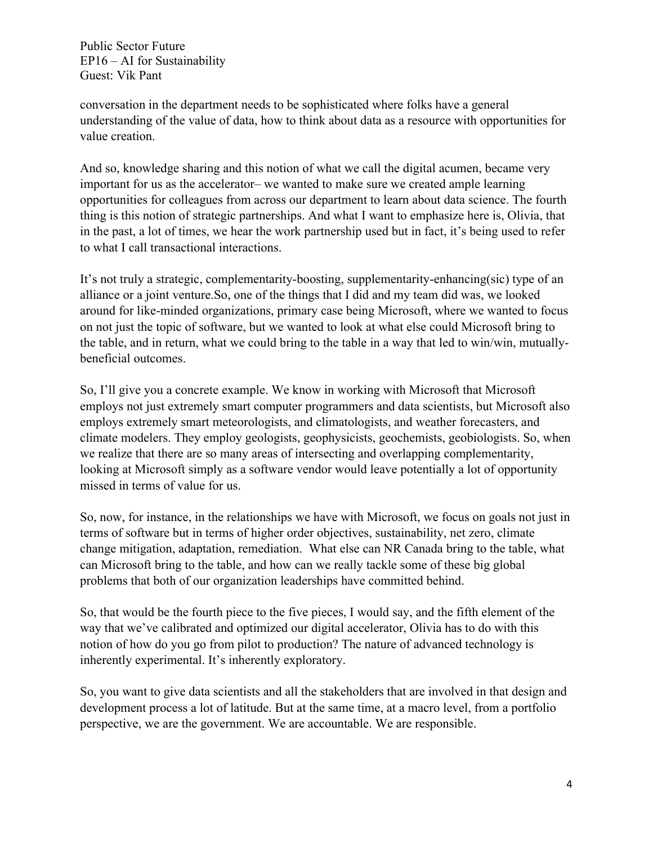conversation in the department needs to be sophisticated where folks have a general understanding of the value of data, how to think about data as a resource with opportunities for value creation.

And so, knowledge sharing and this notion of what we call the digital acumen, became very important for us as the accelerator– we wanted to make sure we created ample learning opportunities for colleagues from across our department to learn about data science. The fourth thing is this notion of strategic partnerships. And what I want to emphasize here is, Olivia, that in the past, a lot of times, we hear the work partnership used but in fact, it's being used to refer to what I call transactional interactions.

It's not truly a strategic, complementarity-boosting, supplementarity-enhancing(sic) type of an alliance or a joint venture.So, one of the things that I did and my team did was, we looked around for like-minded organizations, primary case being Microsoft, where we wanted to focus on not just the topic of software, but we wanted to look at what else could Microsoft bring to the table, and in return, what we could bring to the table in a way that led to win/win, mutuallybeneficial outcomes.

So, I'll give you a concrete example. We know in working with Microsoft that Microsoft employs not just extremely smart computer programmers and data scientists, but Microsoft also employs extremely smart meteorologists, and climatologists, and weather forecasters, and climate modelers. They employ geologists, geophysicists, geochemists, geobiologists. So, when we realize that there are so many areas of intersecting and overlapping complementarity, looking at Microsoft simply as a software vendor would leave potentially a lot of opportunity missed in terms of value for us.

So, now, for instance, in the relationships we have with Microsoft, we focus on goals not just in terms of software but in terms of higher order objectives, sustainability, net zero, climate change mitigation, adaptation, remediation. What else can NR Canada bring to the table, what can Microsoft bring to the table, and how can we really tackle some of these big global problems that both of our organization leaderships have committed behind.

So, that would be the fourth piece to the five pieces, I would say, and the fifth element of the way that we've calibrated and optimized our digital accelerator, Olivia has to do with this notion of how do you go from pilot to production? The nature of advanced technology is inherently experimental. It's inherently exploratory.

So, you want to give data scientists and all the stakeholders that are involved in that design and development process a lot of latitude. But at the same time, at a macro level, from a portfolio perspective, we are the government. We are accountable. We are responsible.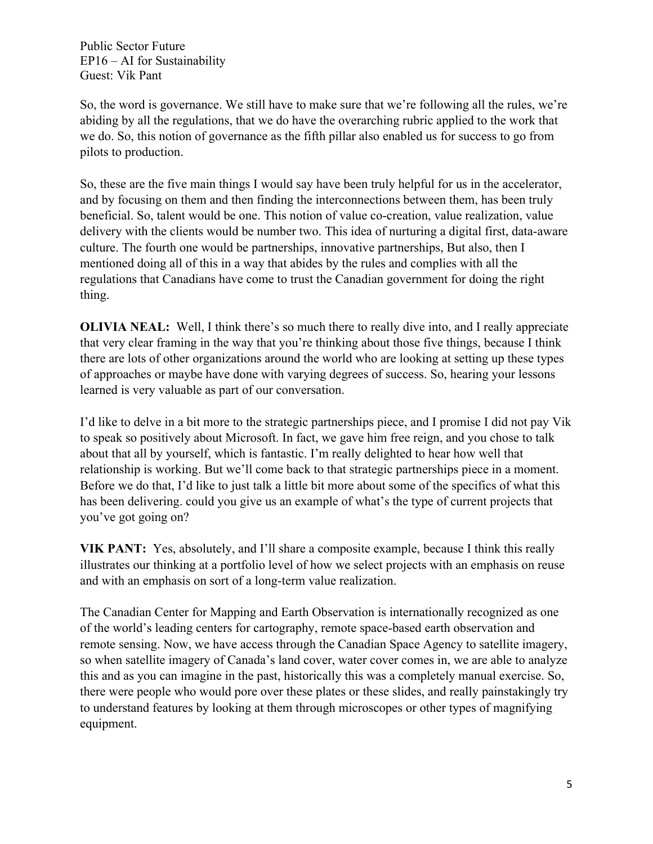So, the word is governance. We still have to make sure that we're following all the rules, we're abiding by all the regulations, that we do have the overarching rubric applied to the work that we do. So, this notion of governance as the fifth pillar also enabled us for success to go from pilots to production.

So, these are the five main things I would say have been truly helpful for us in the accelerator, and by focusing on them and then finding the interconnections between them, has been truly beneficial. So, talent would be one. This notion of value co-creation, value realization, value delivery with the clients would be number two. This idea of nurturing a digital first, data-aware culture. The fourth one would be partnerships, innovative partnerships, But also, then I mentioned doing all of this in a way that abides by the rules and complies with all the regulations that Canadians have come to trust the Canadian government for doing the right thing.

**OLIVIA NEAL:** Well, I think there's so much there to really dive into, and I really appreciate that very clear framing in the way that you're thinking about those five things, because I think there are lots of other organizations around the world who are looking at setting up these types of approaches or maybe have done with varying degrees of success. So, hearing your lessons learned is very valuable as part of our conversation.

I'd like to delve in a bit more to the strategic partnerships piece, and I promise I did not pay Vik to speak so positively about Microsoft. In fact, we gave him free reign, and you chose to talk about that all by yourself, which is fantastic. I'm really delighted to hear how well that relationship is working. But we'll come back to that strategic partnerships piece in a moment. Before we do that, I'd like to just talk a little bit more about some of the specifics of what this has been delivering. could you give us an example of what's the type of current projects that you've got going on?

**VIK PANT:** Yes, absolutely, and I'll share a composite example, because I think this really illustrates our thinking at a portfolio level of how we select projects with an emphasis on reuse and with an emphasis on sort of a long-term value realization.

The Canadian Center for Mapping and Earth Observation is internationally recognized as one of the world's leading centers for cartography, remote space-based earth observation and remote sensing. Now, we have access through the Canadian Space Agency to satellite imagery, so when satellite imagery of Canada's land cover, water cover comes in, we are able to analyze this and as you can imagine in the past, historically this was a completely manual exercise. So, there were people who would pore over these plates or these slides, and really painstakingly try to understand features by looking at them through microscopes or other types of magnifying equipment.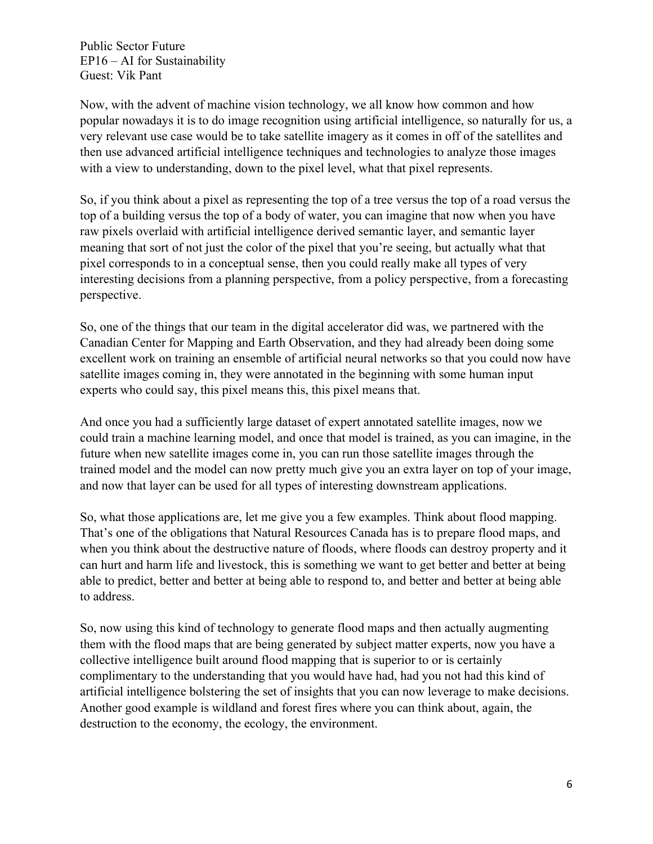Now, with the advent of machine vision technology, we all know how common and how popular nowadays it is to do image recognition using artificial intelligence, so naturally for us, a very relevant use case would be to take satellite imagery as it comes in off of the satellites and then use advanced artificial intelligence techniques and technologies to analyze those images with a view to understanding, down to the pixel level, what that pixel represents.

So, if you think about a pixel as representing the top of a tree versus the top of a road versus the top of a building versus the top of a body of water, you can imagine that now when you have raw pixels overlaid with artificial intelligence derived semantic layer, and semantic layer meaning that sort of not just the color of the pixel that you're seeing, but actually what that pixel corresponds to in a conceptual sense, then you could really make all types of very interesting decisions from a planning perspective, from a policy perspective, from a forecasting perspective.

So, one of the things that our team in the digital accelerator did was, we partnered with the Canadian Center for Mapping and Earth Observation, and they had already been doing some excellent work on training an ensemble of artificial neural networks so that you could now have satellite images coming in, they were annotated in the beginning with some human input experts who could say, this pixel means this, this pixel means that.

And once you had a sufficiently large dataset of expert annotated satellite images, now we could train a machine learning model, and once that model is trained, as you can imagine, in the future when new satellite images come in, you can run those satellite images through the trained model and the model can now pretty much give you an extra layer on top of your image, and now that layer can be used for all types of interesting downstream applications.

So, what those applications are, let me give you a few examples. Think about flood mapping. That's one of the obligations that Natural Resources Canada has is to prepare flood maps, and when you think about the destructive nature of floods, where floods can destroy property and it can hurt and harm life and livestock, this is something we want to get better and better at being able to predict, better and better at being able to respond to, and better and better at being able to address.

So, now using this kind of technology to generate flood maps and then actually augmenting them with the flood maps that are being generated by subject matter experts, now you have a collective intelligence built around flood mapping that is superior to or is certainly complimentary to the understanding that you would have had, had you not had this kind of artificial intelligence bolstering the set of insights that you can now leverage to make decisions. Another good example is wildland and forest fires where you can think about, again, the destruction to the economy, the ecology, the environment.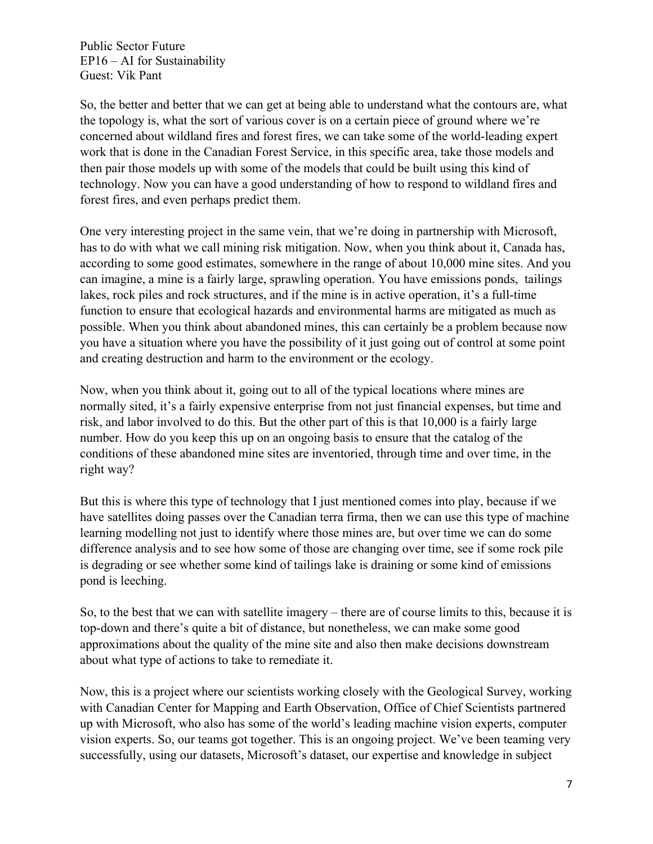So, the better and better that we can get at being able to understand what the contours are, what the topology is, what the sort of various cover is on a certain piece of ground where we're concerned about wildland fires and forest fires, we can take some of the world-leading expert work that is done in the Canadian Forest Service, in this specific area, take those models and then pair those models up with some of the models that could be built using this kind of technology. Now you can have a good understanding of how to respond to wildland fires and forest fires, and even perhaps predict them.

One very interesting project in the same vein, that we're doing in partnership with Microsoft, has to do with what we call mining risk mitigation. Now, when you think about it, Canada has, according to some good estimates, somewhere in the range of about 10,000 mine sites. And you can imagine, a mine is a fairly large, sprawling operation. You have emissions ponds, tailings lakes, rock piles and rock structures, and if the mine is in active operation, it's a full-time function to ensure that ecological hazards and environmental harms are mitigated as much as possible. When you think about abandoned mines, this can certainly be a problem because now you have a situation where you have the possibility of it just going out of control at some point and creating destruction and harm to the environment or the ecology.

Now, when you think about it, going out to all of the typical locations where mines are normally sited, it's a fairly expensive enterprise from not just financial expenses, but time and risk, and labor involved to do this. But the other part of this is that 10,000 is a fairly large number. How do you keep this up on an ongoing basis to ensure that the catalog of the conditions of these abandoned mine sites are inventoried, through time and over time, in the right way?

But this is where this type of technology that I just mentioned comes into play, because if we have satellites doing passes over the Canadian terra firma, then we can use this type of machine learning modelling not just to identify where those mines are, but over time we can do some difference analysis and to see how some of those are changing over time, see if some rock pile is degrading or see whether some kind of tailings lake is draining or some kind of emissions pond is leeching.

So, to the best that we can with satellite imagery – there are of course limits to this, because it is top-down and there's quite a bit of distance, but nonetheless, we can make some good approximations about the quality of the mine site and also then make decisions downstream about what type of actions to take to remediate it.

Now, this is a project where our scientists working closely with the Geological Survey, working with Canadian Center for Mapping and Earth Observation, Office of Chief Scientists partnered up with Microsoft, who also has some of the world's leading machine vision experts, computer vision experts. So, our teams got together. This is an ongoing project. We've been teaming very successfully, using our datasets, Microsoft's dataset, our expertise and knowledge in subject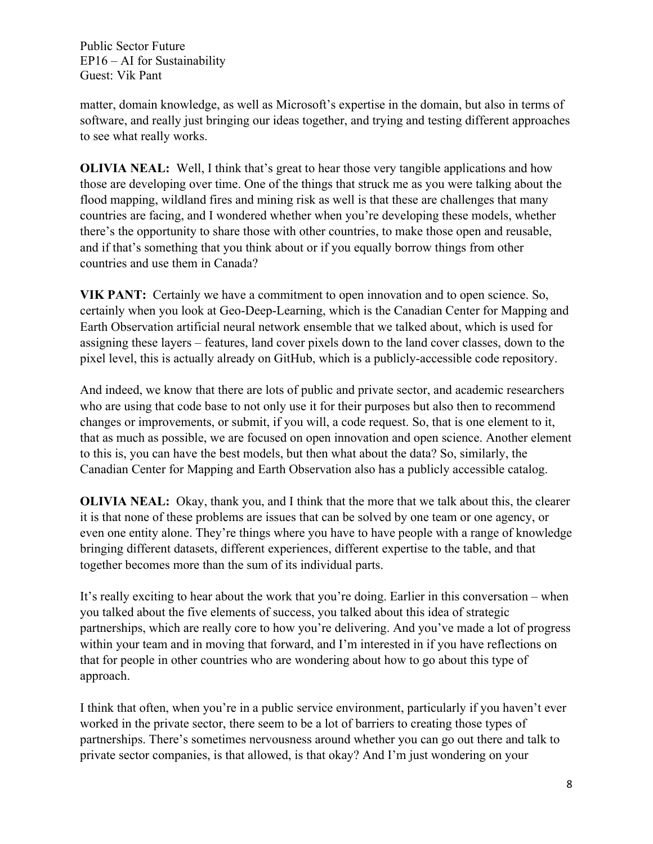matter, domain knowledge, as well as Microsoft's expertise in the domain, but also in terms of software, and really just bringing our ideas together, and trying and testing different approaches to see what really works.

**OLIVIA NEAL:** Well, I think that's great to hear those very tangible applications and how those are developing over time. One of the things that struck me as you were talking about the flood mapping, wildland fires and mining risk as well is that these are challenges that many countries are facing, and I wondered whether when you're developing these models, whether there's the opportunity to share those with other countries, to make those open and reusable, and if that's something that you think about or if you equally borrow things from other countries and use them in Canada?

**VIK PANT:** Certainly we have a commitment to open innovation and to open science. So, certainly when you look at Geo-Deep-Learning, which is the Canadian Center for Mapping and Earth Observation artificial neural network ensemble that we talked about, which is used for assigning these layers – features, land cover pixels down to the land cover classes, down to the pixel level, this is actually already on GitHub, which is a publicly-accessible code repository.

And indeed, we know that there are lots of public and private sector, and academic researchers who are using that code base to not only use it for their purposes but also then to recommend changes or improvements, or submit, if you will, a code request. So, that is one element to it, that as much as possible, we are focused on open innovation and open science. Another element to this is, you can have the best models, but then what about the data? So, similarly, the Canadian Center for Mapping and Earth Observation also has a publicly accessible catalog.

**OLIVIA NEAL:** Okay, thank you, and I think that the more that we talk about this, the clearer it is that none of these problems are issues that can be solved by one team or one agency, or even one entity alone. They're things where you have to have people with a range of knowledge bringing different datasets, different experiences, different expertise to the table, and that together becomes more than the sum of its individual parts.

It's really exciting to hear about the work that you're doing. Earlier in this conversation – when you talked about the five elements of success, you talked about this idea of strategic partnerships, which are really core to how you're delivering. And you've made a lot of progress within your team and in moving that forward, and I'm interested in if you have reflections on that for people in other countries who are wondering about how to go about this type of approach.

I think that often, when you're in a public service environment, particularly if you haven't ever worked in the private sector, there seem to be a lot of barriers to creating those types of partnerships. There's sometimes nervousness around whether you can go out there and talk to private sector companies, is that allowed, is that okay? And I'm just wondering on your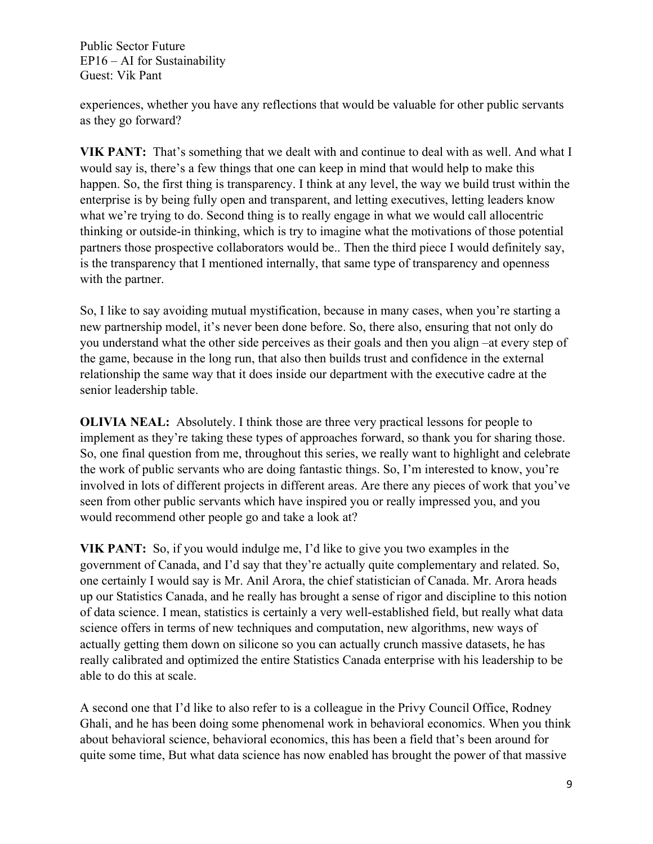experiences, whether you have any reflections that would be valuable for other public servants as they go forward?

**VIK PANT:** That's something that we dealt with and continue to deal with as well. And what I would say is, there's a few things that one can keep in mind that would help to make this happen. So, the first thing is transparency. I think at any level, the way we build trust within the enterprise is by being fully open and transparent, and letting executives, letting leaders know what we're trying to do. Second thing is to really engage in what we would call allocentric thinking or outside-in thinking, which is try to imagine what the motivations of those potential partners those prospective collaborators would be.. Then the third piece I would definitely say, is the transparency that I mentioned internally, that same type of transparency and openness with the partner.

So, I like to say avoiding mutual mystification, because in many cases, when you're starting a new partnership model, it's never been done before. So, there also, ensuring that not only do you understand what the other side perceives as their goals and then you align –at every step of the game, because in the long run, that also then builds trust and confidence in the external relationship the same way that it does inside our department with the executive cadre at the senior leadership table.

**OLIVIA NEAL:** Absolutely. I think those are three very practical lessons for people to implement as they're taking these types of approaches forward, so thank you for sharing those. So, one final question from me, throughout this series, we really want to highlight and celebrate the work of public servants who are doing fantastic things. So, I'm interested to know, you're involved in lots of different projects in different areas. Are there any pieces of work that you've seen from other public servants which have inspired you or really impressed you, and you would recommend other people go and take a look at?

**VIK PANT:** So, if you would indulge me, I'd like to give you two examples in the government of Canada, and I'd say that they're actually quite complementary and related. So, one certainly I would say is Mr. Anil Arora, the chief statistician of Canada. Mr. Arora heads up our Statistics Canada, and he really has brought a sense of rigor and discipline to this notion of data science. I mean, statistics is certainly a very well-established field, but really what data science offers in terms of new techniques and computation, new algorithms, new ways of actually getting them down on silicone so you can actually crunch massive datasets, he has really calibrated and optimized the entire Statistics Canada enterprise with his leadership to be able to do this at scale.

A second one that I'd like to also refer to is a colleague in the Privy Council Office, Rodney Ghali, and he has been doing some phenomenal work in behavioral economics. When you think about behavioral science, behavioral economics, this has been a field that's been around for quite some time, But what data science has now enabled has brought the power of that massive